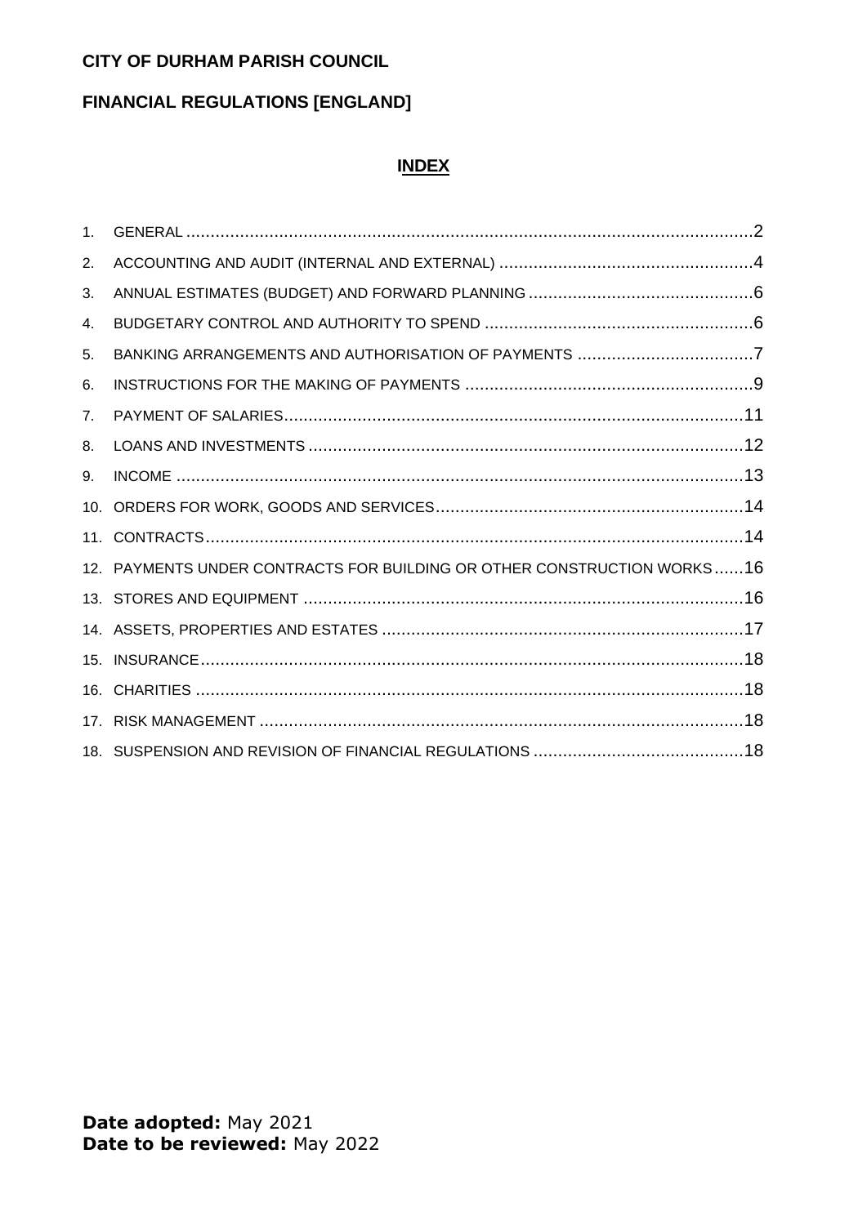# **CITY OF DURHAM PARISH COUNCIL**

## **FINANCIAL REGULATIONS [ENGLAND]**

#### **INDEX**

| $1_{-}$        |                                                                         |
|----------------|-------------------------------------------------------------------------|
| 2.             |                                                                         |
| 3.             |                                                                         |
| 4.             |                                                                         |
| 5.             |                                                                         |
| 6.             |                                                                         |
| 7 <sub>1</sub> |                                                                         |
| 8.             |                                                                         |
| 9.             |                                                                         |
|                |                                                                         |
|                |                                                                         |
|                | 12. PAYMENTS UNDER CONTRACTS FOR BUILDING OR OTHER CONSTRUCTION WORKS16 |
|                |                                                                         |
|                |                                                                         |
|                |                                                                         |
|                |                                                                         |
|                |                                                                         |
|                |                                                                         |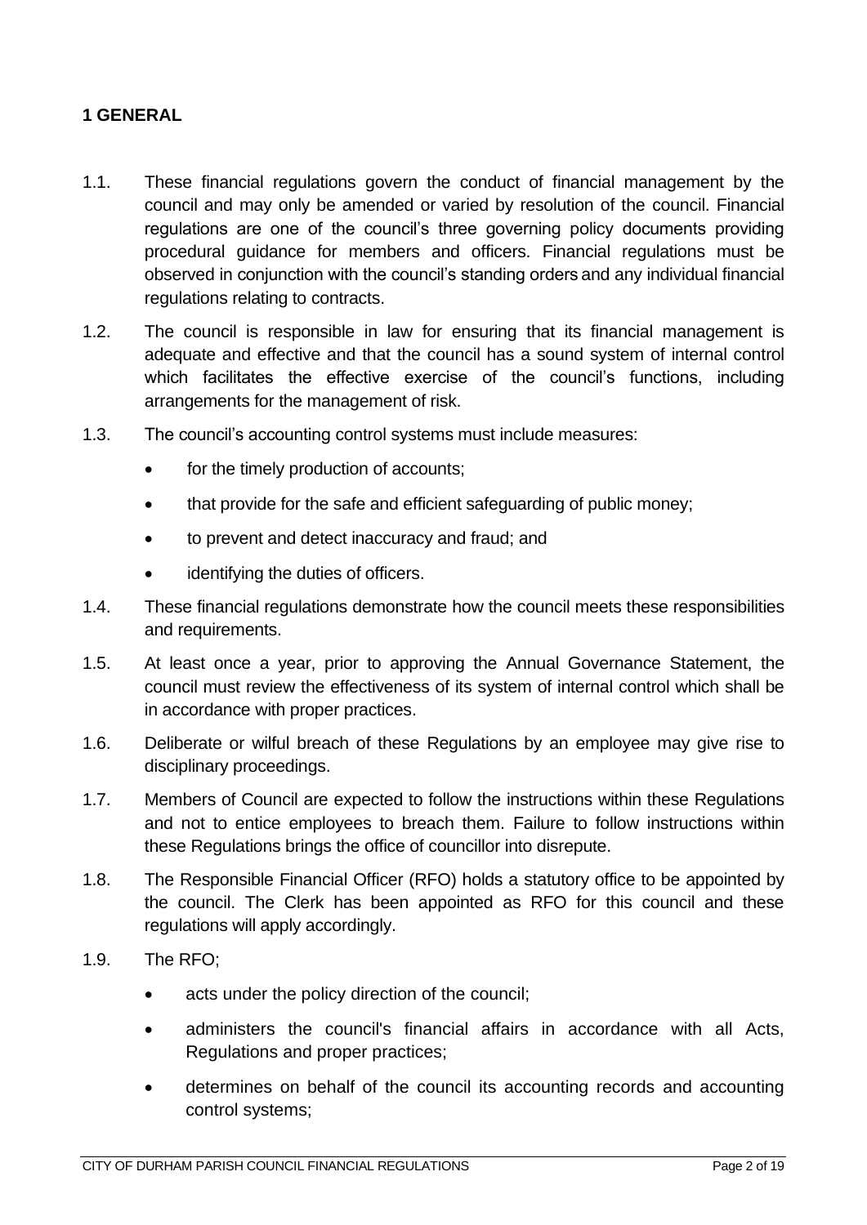## <span id="page-1-0"></span>**1 GENERAL**

- 1.1. These financial regulations govern the conduct of financial management by the council and may only be amended or varied by resolution of the council. Financial regulations are one of the council's three governing policy documents providing procedural guidance for members and officers. Financial regulations must be observed in conjunction with the council's standing orders and any individual financial regulations relating to contracts.
- 1.2. The council is responsible in law for ensuring that its financial management is adequate and effective and that the council has a sound system of internal control which facilitates the effective exercise of the council's functions, including arrangements for the management of risk.
- 1.3. The council's accounting control systems must include measures:
	- for the timely production of accounts;
	- that provide for the safe and efficient safeguarding of public money:
	- to prevent and detect inaccuracy and fraud; and
	- identifying the duties of officers.
- 1.4. These financial regulations demonstrate how the council meets these responsibilities and requirements.
- 1.5. At least once a year, prior to approving the Annual Governance Statement, the council must review the effectiveness of its system of internal control which shall be in accordance with proper practices.
- 1.6. Deliberate or wilful breach of these Regulations by an employee may give rise to disciplinary proceedings.
- 1.7. Members of Council are expected to follow the instructions within these Regulations and not to entice employees to breach them. Failure to follow instructions within these Regulations brings the office of councillor into disrepute.
- 1.8. The Responsible Financial Officer (RFO) holds a statutory office to be appointed by the council. The Clerk has been appointed as RFO for this council and these regulations will apply accordingly.
- 1.9. The RFO;
	- acts under the policy direction of the council;
	- administers the council's financial affairs in accordance with all Acts, Regulations and proper practices;
	- determines on behalf of the council its accounting records and accounting control systems;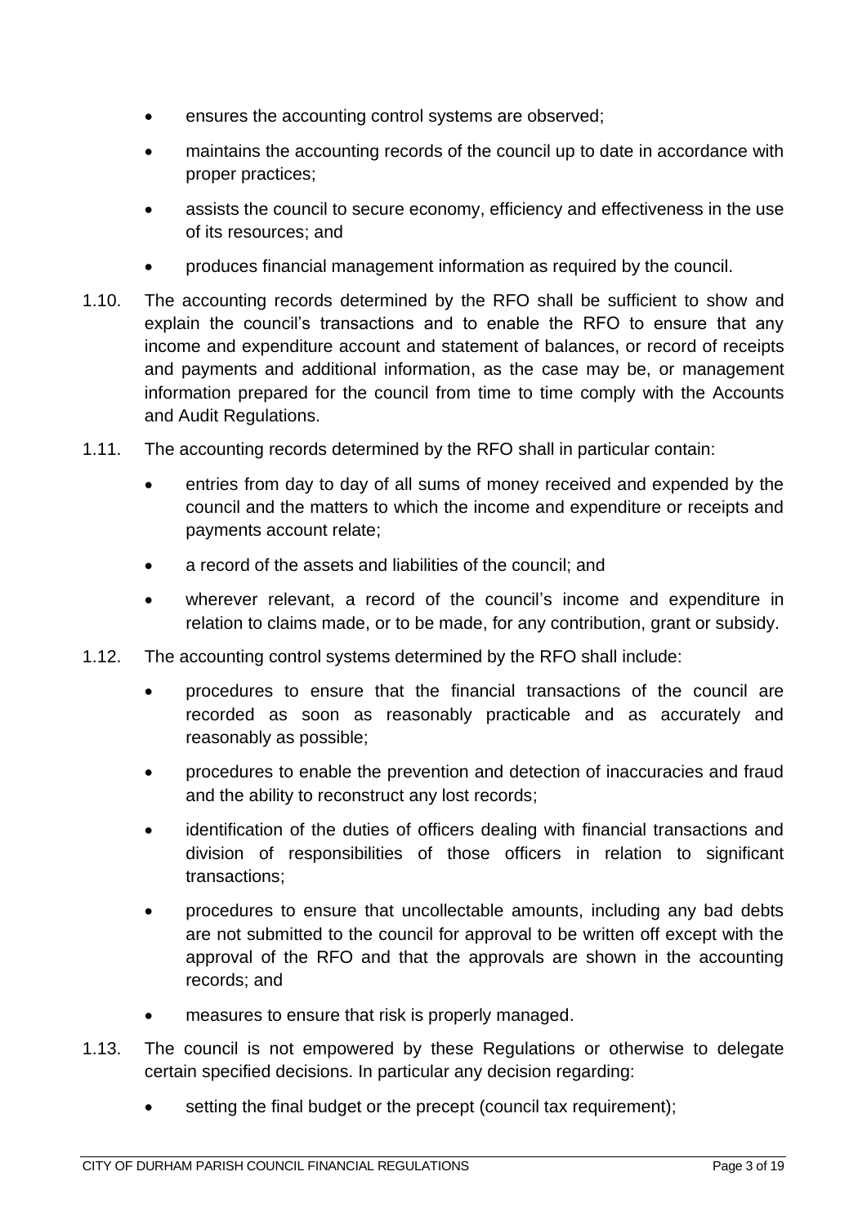- ensures the accounting control systems are observed;
- maintains the accounting records of the council up to date in accordance with proper practices;
- assists the council to secure economy, efficiency and effectiveness in the use of its resources; and
- produces financial management information as required by the council.
- 1.10. The accounting records determined by the RFO shall be sufficient to show and explain the council's transactions and to enable the RFO to ensure that any income and expenditure account and statement of balances, or record of receipts and payments and additional information, as the case may be, or management information prepared for the council from time to time comply with the Accounts and Audit Regulations.
- 1.11. The accounting records determined by the RFO shall in particular contain:
	- entries from day to day of all sums of money received and expended by the council and the matters to which the income and expenditure or receipts and payments account relate;
	- a record of the assets and liabilities of the council; and
	- wherever relevant, a record of the council's income and expenditure in relation to claims made, or to be made, for any contribution, grant or subsidy.
- 1.12. The accounting control systems determined by the RFO shall include:
	- procedures to ensure that the financial transactions of the council are recorded as soon as reasonably practicable and as accurately and reasonably as possible;
	- procedures to enable the prevention and detection of inaccuracies and fraud and the ability to reconstruct any lost records;
	- identification of the duties of officers dealing with financial transactions and division of responsibilities of those officers in relation to significant transactions;
	- procedures to ensure that uncollectable amounts, including any bad debts are not submitted to the council for approval to be written off except with the approval of the RFO and that the approvals are shown in the accounting records; and
	- measures to ensure that risk is properly managed.
- 1.13. The council is not empowered by these Regulations or otherwise to delegate certain specified decisions. In particular any decision regarding:
	- setting the final budget or the precept (council tax requirement);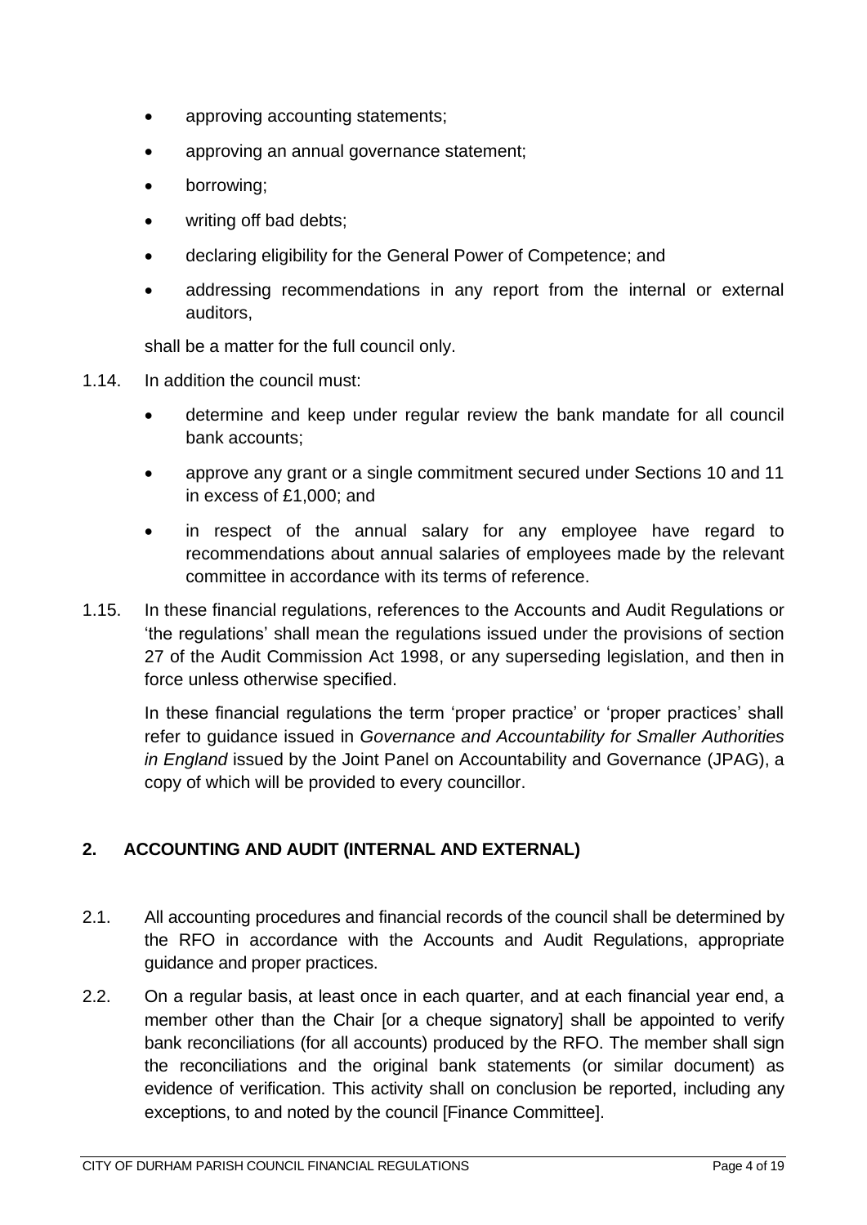- approving accounting statements;
- approving an annual governance statement;
- borrowing;
- writing off bad debts;
- declaring eligibility for the General Power of Competence; and
- addressing recommendations in any report from the internal or external auditors,

shall be a matter for the full council only.

- 1.14. In addition the council must:
	- determine and keep under regular review the bank mandate for all council bank accounts;
	- approve any grant or a single commitment secured under Sections 10 and 11 in excess of £1,000; and
	- in respect of the annual salary for any employee have regard to recommendations about annual salaries of employees made by the relevant committee in accordance with its terms of reference.
- 1.15. In these financial regulations, references to the Accounts and Audit Regulations or 'the regulations' shall mean the regulations issued under the provisions of section 27 of the Audit Commission Act 1998, or any superseding legislation, and then in force unless otherwise specified.

In these financial regulations the term 'proper practice' or 'proper practices' shall refer to guidance issued in *Governance and Accountability for Smaller Authorities in England* issued by the Joint Panel on Accountability and Governance (JPAG), a copy of which will be provided to every councillor.

# <span id="page-3-0"></span>**2. ACCOUNTING AND AUDIT (INTERNAL AND EXTERNAL)**

- 2.1. All accounting procedures and financial records of the council shall be determined by the RFO in accordance with the Accounts and Audit Regulations, appropriate guidance and proper practices.
- 2.2. On a regular basis, at least once in each quarter, and at each financial year end, a member other than the Chair for a cheque signatoryl shall be appointed to verify bank reconciliations (for all accounts) produced by the RFO. The member shall sign the reconciliations and the original bank statements (or similar document) as evidence of verification. This activity shall on conclusion be reported, including any exceptions, to and noted by the council [Finance Committee].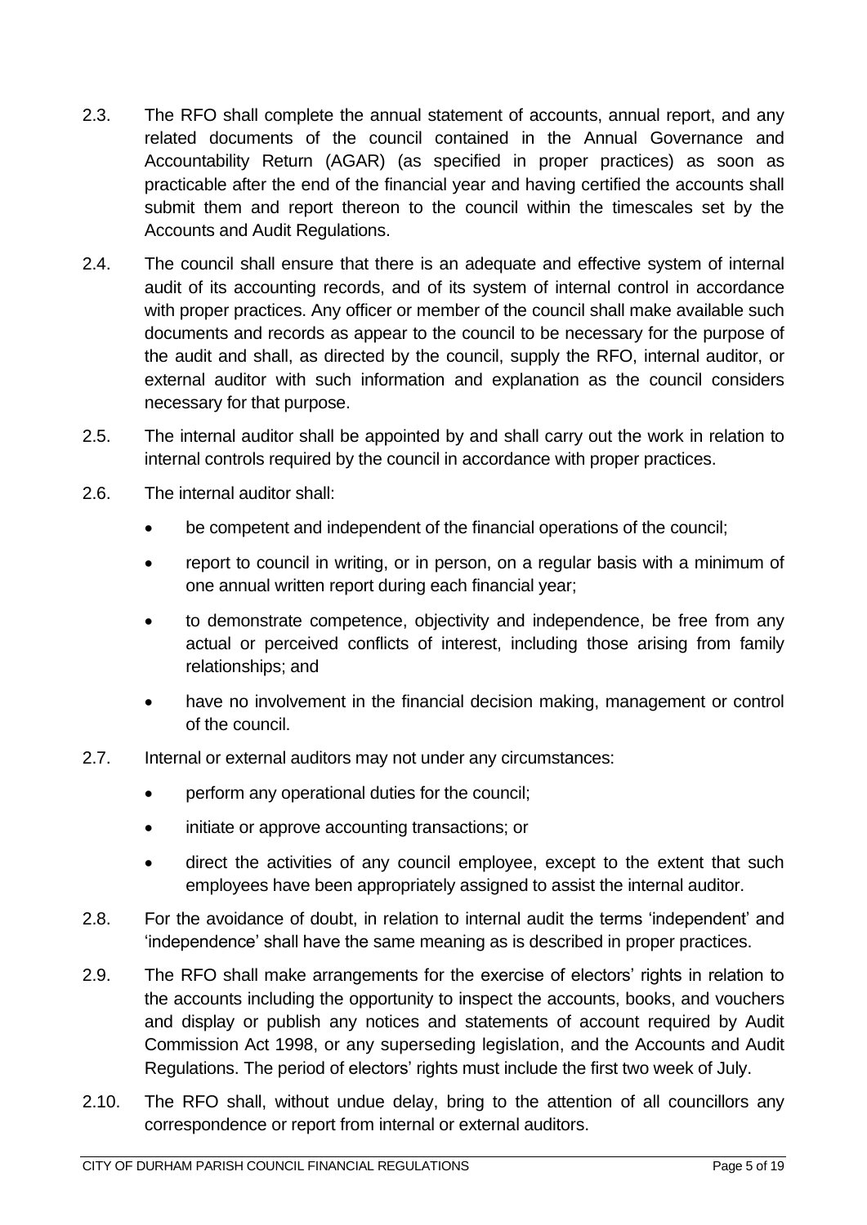- 2.3. The RFO shall complete the annual statement of accounts, annual report, and any related documents of the council contained in the Annual Governance and Accountability Return (AGAR) (as specified in proper practices) as soon as practicable after the end of the financial year and having certified the accounts shall submit them and report thereon to the council within the timescales set by the Accounts and Audit Regulations.
- 2.4. The council shall ensure that there is an adequate and effective system of internal audit of its accounting records, and of its system of internal control in accordance with proper practices. Any officer or member of the council shall make available such documents and records as appear to the council to be necessary for the purpose of the audit and shall, as directed by the council, supply the RFO, internal auditor, or external auditor with such information and explanation as the council considers necessary for that purpose.
- 2.5. The internal auditor shall be appointed by and shall carry out the work in relation to internal controls required by the council in accordance with proper practices.
- 2.6. The internal auditor shall:
	- be competent and independent of the financial operations of the council;
	- report to council in writing, or in person, on a regular basis with a minimum of one annual written report during each financial year;
	- to demonstrate competence, objectivity and independence, be free from any actual or perceived conflicts of interest, including those arising from family relationships; and
	- have no involvement in the financial decision making, management or control of the council.
- 2.7. Internal or external auditors may not under any circumstances:
	- perform any operational duties for the council;
	- initiate or approve accounting transactions; or
	- direct the activities of any council employee, except to the extent that such employees have been appropriately assigned to assist the internal auditor.
- 2.8. For the avoidance of doubt, in relation to internal audit the terms 'independent' and 'independence' shall have the same meaning as is described in proper practices.
- 2.9. The RFO shall make arrangements for the exercise of electors' rights in relation to the accounts including the opportunity to inspect the accounts, books, and vouchers and display or publish any notices and statements of account required by Audit Commission Act 1998, or any superseding legislation, and the Accounts and Audit Regulations. The period of electors' rights must include the first two week of July.
- 2.10. The RFO shall, without undue delay, bring to the attention of all councillors any correspondence or report from internal or external auditors.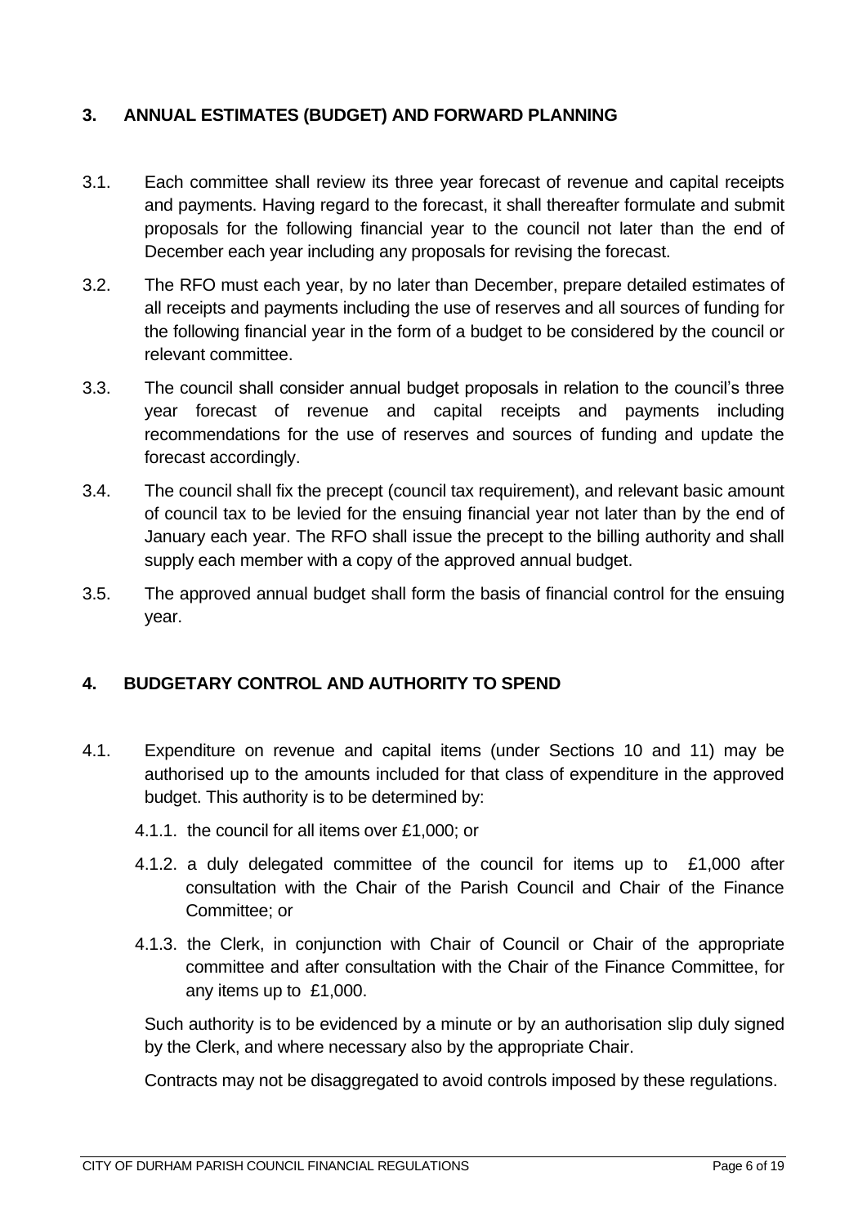## <span id="page-5-0"></span>**3. ANNUAL ESTIMATES (BUDGET) AND FORWARD PLANNING**

- 3.1. Each committee shall review its three year forecast of revenue and capital receipts and payments. Having regard to the forecast, it shall thereafter formulate and submit proposals for the following financial year to the council not later than the end of December each year including any proposals for revising the forecast.
- 3.2. The RFO must each year, by no later than December, prepare detailed estimates of all receipts and payments including the use of reserves and all sources of funding for the following financial year in the form of a budget to be considered by the council or relevant committee.
- 3.3. The council shall consider annual budget proposals in relation to the council's three year forecast of revenue and capital receipts and payments including recommendations for the use of reserves and sources of funding and update the forecast accordingly.
- 3.4. The council shall fix the precept (council tax requirement), and relevant basic amount of council tax to be levied for the ensuing financial year not later than by the end of January each year. The RFO shall issue the precept to the billing authority and shall supply each member with a copy of the approved annual budget.
- 3.5. The approved annual budget shall form the basis of financial control for the ensuing year.

#### <span id="page-5-1"></span>**4. BUDGETARY CONTROL AND AUTHORITY TO SPEND**

- 4.1. Expenditure on revenue and capital items (under Sections 10 and 11) may be authorised up to the amounts included for that class of expenditure in the approved budget. This authority is to be determined by:
	- 4.1.1. the council for all items over £1,000; or
	- 4.1.2. a duly delegated committee of the council for items up to £1,000 after consultation with the Chair of the Parish Council and Chair of the Finance Committee; or
	- 4.1.3. the Clerk, in conjunction with Chair of Council or Chair of the appropriate committee and after consultation with the Chair of the Finance Committee, for any items up to £1,000.

Such authority is to be evidenced by a minute or by an authorisation slip duly signed by the Clerk, and where necessary also by the appropriate Chair.

Contracts may not be disaggregated to avoid controls imposed by these regulations.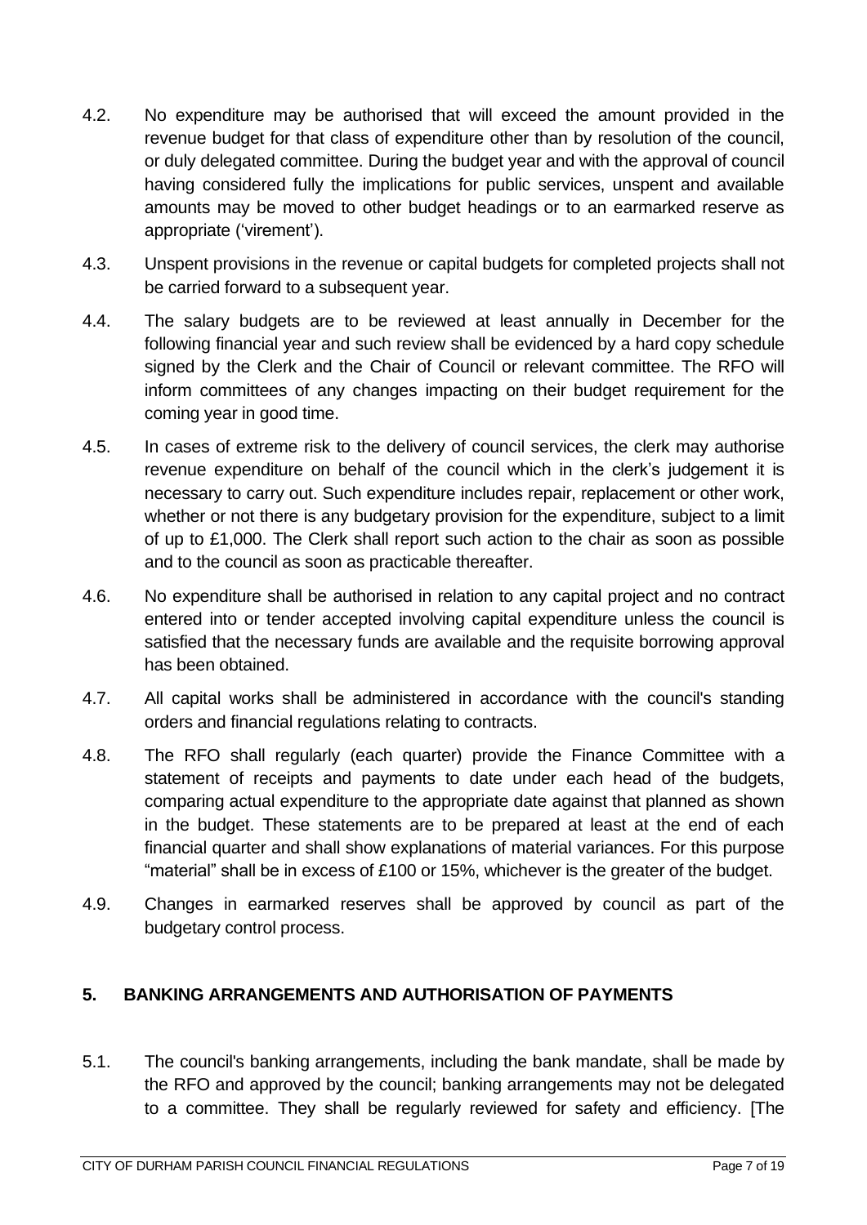- 4.2. No expenditure may be authorised that will exceed the amount provided in the revenue budget for that class of expenditure other than by resolution of the council, or duly delegated committee. During the budget year and with the approval of council having considered fully the implications for public services, unspent and available amounts may be moved to other budget headings or to an earmarked reserve as appropriate ('virement').
- 4.3. Unspent provisions in the revenue or capital budgets for completed projects shall not be carried forward to a subsequent year.
- 4.4. The salary budgets are to be reviewed at least annually in December for the following financial year and such review shall be evidenced by a hard copy schedule signed by the Clerk and the Chair of Council or relevant committee. The RFO will inform committees of any changes impacting on their budget requirement for the coming year in good time.
- 4.5. In cases of extreme risk to the delivery of council services, the clerk may authorise revenue expenditure on behalf of the council which in the clerk's judgement it is necessary to carry out. Such expenditure includes repair, replacement or other work, whether or not there is any budgetary provision for the expenditure, subject to a limit of up to £1,000. The Clerk shall report such action to the chair as soon as possible and to the council as soon as practicable thereafter.
- 4.6. No expenditure shall be authorised in relation to any capital project and no contract entered into or tender accepted involving capital expenditure unless the council is satisfied that the necessary funds are available and the requisite borrowing approval has been obtained.
- 4.7. All capital works shall be administered in accordance with the council's standing orders and financial regulations relating to contracts.
- 4.8. The RFO shall regularly (each quarter) provide the Finance Committee with a statement of receipts and payments to date under each head of the budgets, comparing actual expenditure to the appropriate date against that planned as shown in the budget. These statements are to be prepared at least at the end of each financial quarter and shall show explanations of material variances. For this purpose "material" shall be in excess of £100 or 15%, whichever is the greater of the budget.
- 4.9. Changes in earmarked reserves shall be approved by council as part of the budgetary control process.

#### <span id="page-6-0"></span>**5. BANKING ARRANGEMENTS AND AUTHORISATION OF PAYMENTS**

5.1. The council's banking arrangements, including the bank mandate, shall be made by the RFO and approved by the council; banking arrangements may not be delegated to a committee. They shall be regularly reviewed for safety and efficiency. [The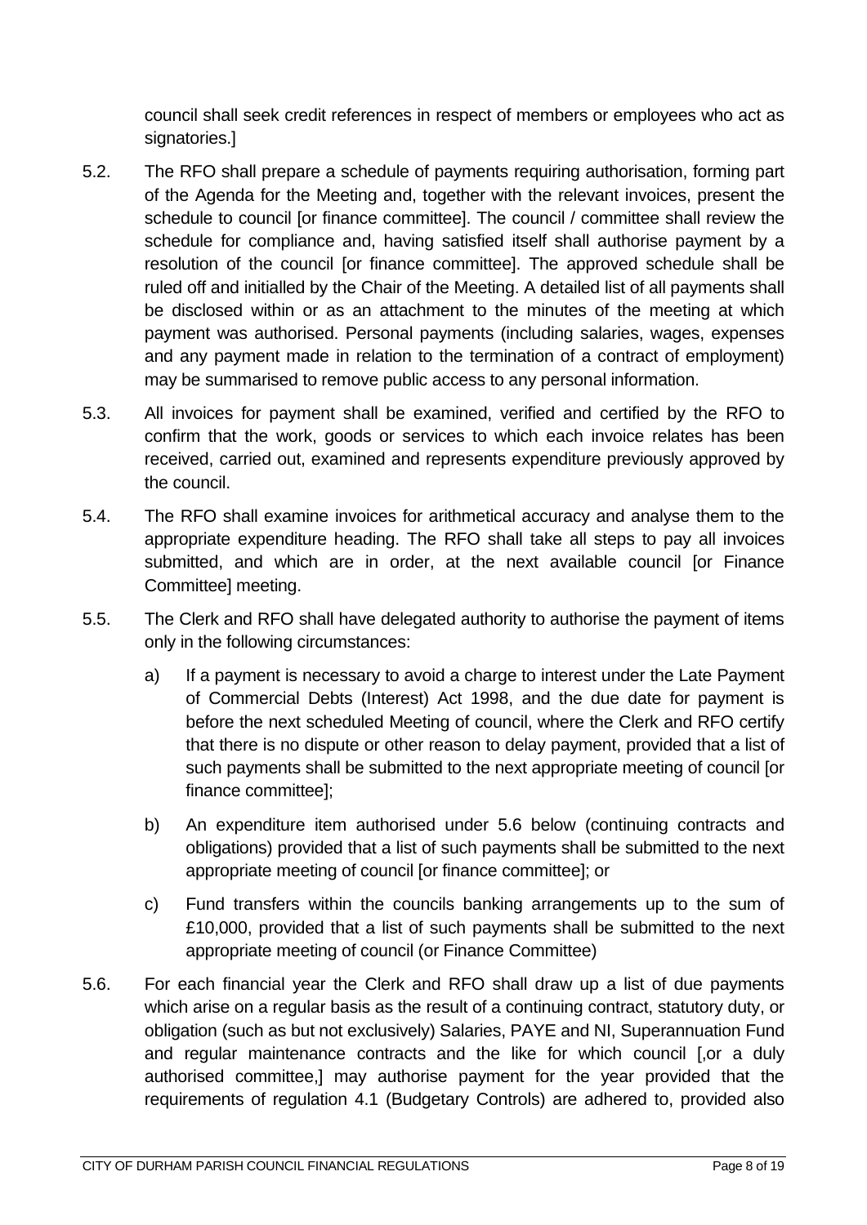council shall seek credit references in respect of members or employees who act as signatories.]

- 5.2. The RFO shall prepare a schedule of payments requiring authorisation, forming part of the Agenda for the Meeting and, together with the relevant invoices, present the schedule to council for finance committeel. The council / committee shall review the schedule for compliance and, having satisfied itself shall authorise payment by a resolution of the council [or finance committee]. The approved schedule shall be ruled off and initialled by the Chair of the Meeting. A detailed list of all payments shall be disclosed within or as an attachment to the minutes of the meeting at which payment was authorised. Personal payments (including salaries, wages, expenses and any payment made in relation to the termination of a contract of employment) may be summarised to remove public access to any personal information.
- 5.3. All invoices for payment shall be examined, verified and certified by the RFO to confirm that the work, goods or services to which each invoice relates has been received, carried out, examined and represents expenditure previously approved by the council.
- 5.4. The RFO shall examine invoices for arithmetical accuracy and analyse them to the appropriate expenditure heading. The RFO shall take all steps to pay all invoices submitted, and which are in order, at the next available council [or Finance Committee] meeting.
- 5.5. The Clerk and RFO shall have delegated authority to authorise the payment of items only in the following circumstances:
	- a) If a payment is necessary to avoid a charge to interest under the Late Payment of Commercial Debts (Interest) Act 1998, and the due date for payment is before the next scheduled Meeting of council, where the Clerk and RFO certify that there is no dispute or other reason to delay payment, provided that a list of such payments shall be submitted to the next appropriate meeting of council [or finance committee];
	- b) An expenditure item authorised under 5.6 below (continuing contracts and obligations) provided that a list of such payments shall be submitted to the next appropriate meeting of council [or finance committee]; or
	- c) Fund transfers within the councils banking arrangements up to the sum of £10,000, provided that a list of such payments shall be submitted to the next appropriate meeting of council (or Finance Committee)
- 5.6. For each financial year the Clerk and RFO shall draw up a list of due payments which arise on a regular basis as the result of a continuing contract, statutory duty, or obligation (such as but not exclusively) Salaries, PAYE and NI, Superannuation Fund and regular maintenance contracts and the like for which council [,or a duly authorised committee,] may authorise payment for the year provided that the requirements of regulation 4.1 (Budgetary Controls) are adhered to, provided also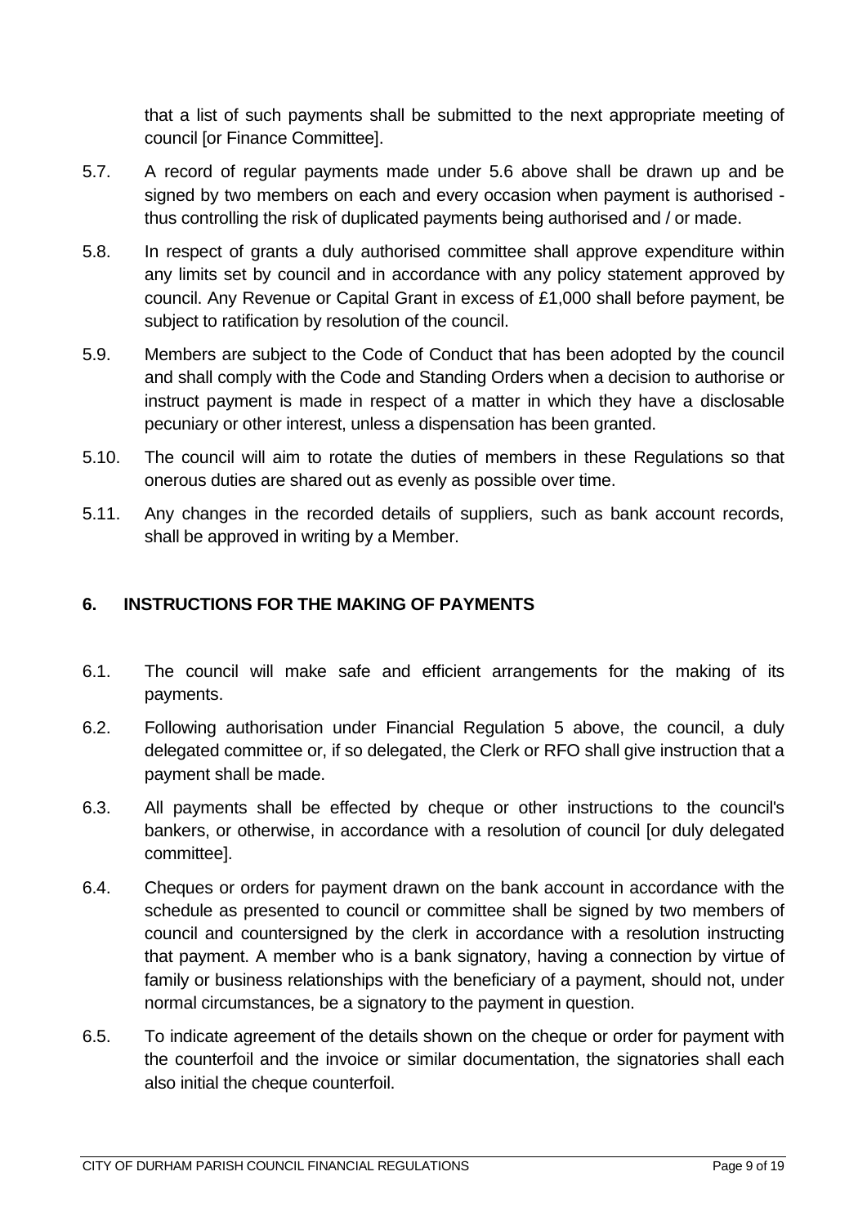that a list of such payments shall be submitted to the next appropriate meeting of council [or Finance Committee].

- 5.7. A record of regular payments made under 5.6 above shall be drawn up and be signed by two members on each and every occasion when payment is authorised thus controlling the risk of duplicated payments being authorised and / or made.
- 5.8. In respect of grants a duly authorised committee shall approve expenditure within any limits set by council and in accordance with any policy statement approved by council. Any Revenue or Capital Grant in excess of £1,000 shall before payment, be subject to ratification by resolution of the council.
- 5.9. Members are subject to the Code of Conduct that has been adopted by the council and shall comply with the Code and Standing Orders when a decision to authorise or instruct payment is made in respect of a matter in which they have a disclosable pecuniary or other interest, unless a dispensation has been granted.
- 5.10. The council will aim to rotate the duties of members in these Regulations so that onerous duties are shared out as evenly as possible over time.
- 5.11. Any changes in the recorded details of suppliers, such as bank account records, shall be approved in writing by a Member.

### <span id="page-8-0"></span>**6. INSTRUCTIONS FOR THE MAKING OF PAYMENTS**

- 6.1. The council will make safe and efficient arrangements for the making of its payments.
- 6.2. Following authorisation under Financial Regulation 5 above, the council, a duly delegated committee or, if so delegated, the Clerk or RFO shall give instruction that a payment shall be made.
- 6.3. All payments shall be effected by cheque or other instructions to the council's bankers, or otherwise, in accordance with a resolution of council [or duly delegated committee].
- 6.4. Cheques or orders for payment drawn on the bank account in accordance with the schedule as presented to council or committee shall be signed by two members of council and countersigned by the clerk in accordance with a resolution instructing that payment. A member who is a bank signatory, having a connection by virtue of family or business relationships with the beneficiary of a payment, should not, under normal circumstances, be a signatory to the payment in question.
- 6.5. To indicate agreement of the details shown on the cheque or order for payment with the counterfoil and the invoice or similar documentation, the signatories shall each also initial the cheque counterfoil.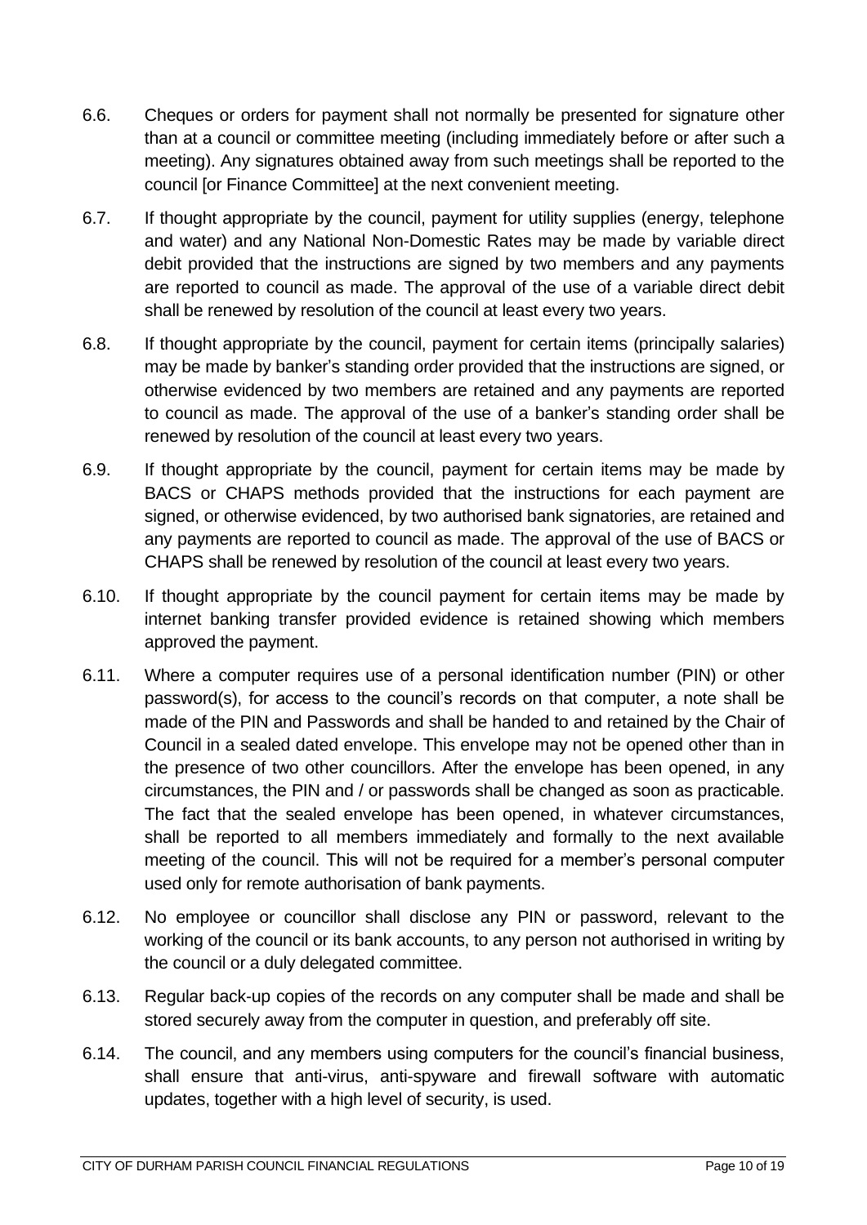- 6.6. Cheques or orders for payment shall not normally be presented for signature other than at a council or committee meeting (including immediately before or after such a meeting). Any signatures obtained away from such meetings shall be reported to the council [or Finance Committee] at the next convenient meeting.
- 6.7. If thought appropriate by the council, payment for utility supplies (energy, telephone and water) and any National Non-Domestic Rates may be made by variable direct debit provided that the instructions are signed by two members and any payments are reported to council as made. The approval of the use of a variable direct debit shall be renewed by resolution of the council at least every two years.
- 6.8. If thought appropriate by the council, payment for certain items (principally salaries) may be made by banker's standing order provided that the instructions are signed, or otherwise evidenced by two members are retained and any payments are reported to council as made. The approval of the use of a banker's standing order shall be renewed by resolution of the council at least every two years.
- 6.9. If thought appropriate by the council, payment for certain items may be made by BACS or CHAPS methods provided that the instructions for each payment are signed, or otherwise evidenced, by two authorised bank signatories, are retained and any payments are reported to council as made. The approval of the use of BACS or CHAPS shall be renewed by resolution of the council at least every two years.
- 6.10. If thought appropriate by the council payment for certain items may be made by internet banking transfer provided evidence is retained showing which members approved the payment.
- 6.11. Where a computer requires use of a personal identification number (PIN) or other password(s), for access to the council's records on that computer, a note shall be made of the PIN and Passwords and shall be handed to and retained by the Chair of Council in a sealed dated envelope. This envelope may not be opened other than in the presence of two other councillors. After the envelope has been opened, in any circumstances, the PIN and / or passwords shall be changed as soon as practicable. The fact that the sealed envelope has been opened, in whatever circumstances, shall be reported to all members immediately and formally to the next available meeting of the council. This will not be required for a member's personal computer used only for remote authorisation of bank payments.
- 6.12. No employee or councillor shall disclose any PIN or password, relevant to the working of the council or its bank accounts, to any person not authorised in writing by the council or a duly delegated committee.
- 6.13. Regular back-up copies of the records on any computer shall be made and shall be stored securely away from the computer in question, and preferably off site.
- 6.14. The council, and any members using computers for the council's financial business, shall ensure that anti-virus, anti-spyware and firewall software with automatic updates, together with a high level of security, is used.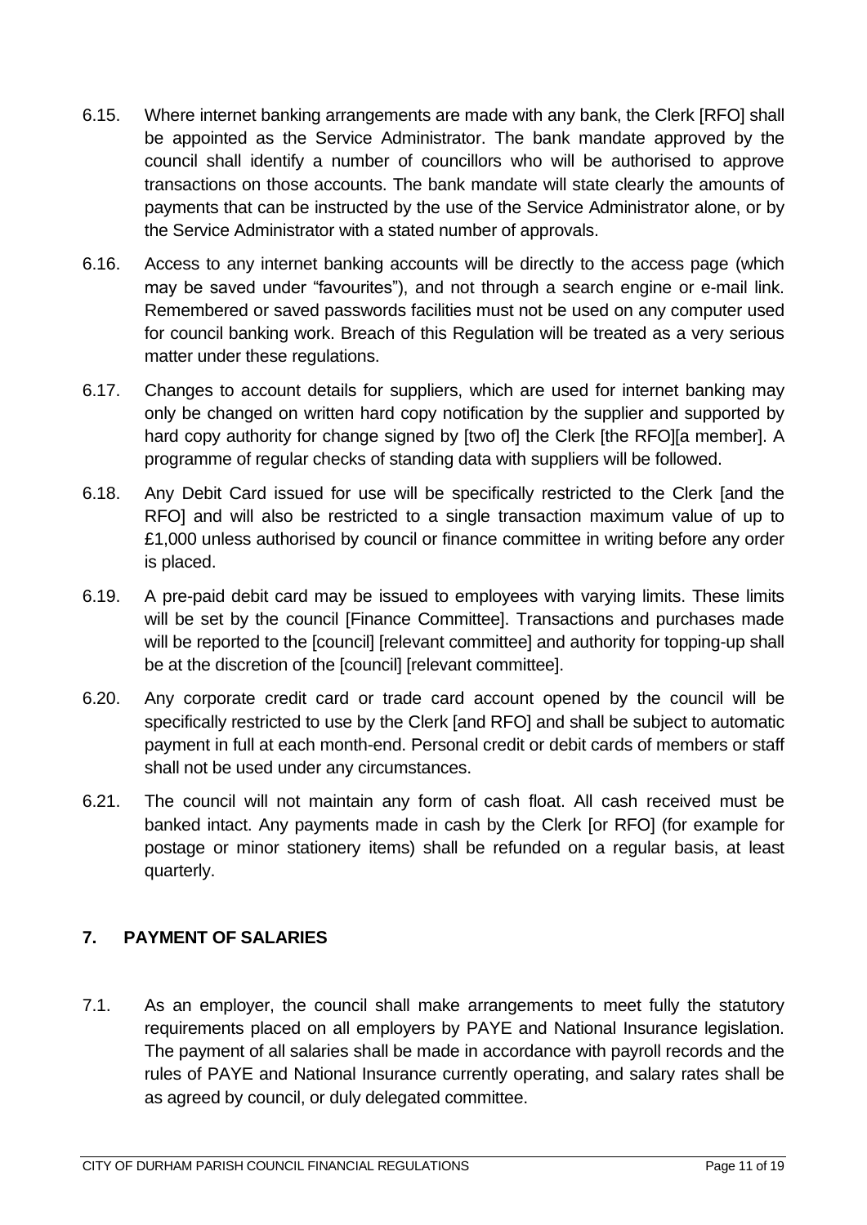- 6.15. Where internet banking arrangements are made with any bank, the Clerk [RFO] shall be appointed as the Service Administrator. The bank mandate approved by the council shall identify a number of councillors who will be authorised to approve transactions on those accounts. The bank mandate will state clearly the amounts of payments that can be instructed by the use of the Service Administrator alone, or by the Service Administrator with a stated number of approvals.
- 6.16. Access to any internet banking accounts will be directly to the access page (which may be saved under "favourites"), and not through a search engine or e-mail link. Remembered or saved passwords facilities must not be used on any computer used for council banking work. Breach of this Regulation will be treated as a very serious matter under these regulations.
- 6.17. Changes to account details for suppliers, which are used for internet banking may only be changed on written hard copy notification by the supplier and supported by hard copy authority for change signed by [two of] the Clerk [the RFO][a member]. A programme of regular checks of standing data with suppliers will be followed.
- 6.18. Any Debit Card issued for use will be specifically restricted to the Clerk [and the RFO] and will also be restricted to a single transaction maximum value of up to £1,000 unless authorised by council or finance committee in writing before any order is placed.
- 6.19. A pre-paid debit card may be issued to employees with varying limits. These limits will be set by the council [Finance Committee]. Transactions and purchases made will be reported to the [council] [relevant committee] and authority for topping-up shall be at the discretion of the [council] [relevant committee].
- 6.20. Any corporate credit card or trade card account opened by the council will be specifically restricted to use by the Clerk [and RFO] and shall be subject to automatic payment in full at each month-end. Personal credit or debit cards of members or staff shall not be used under any circumstances.
- 6.21. The council will not maintain any form of cash float. All cash received must be banked intact. Any payments made in cash by the Clerk [or RFO] (for example for postage or minor stationery items) shall be refunded on a regular basis, at least quarterly.

# <span id="page-10-0"></span>**7. PAYMENT OF SALARIES**

7.1. As an employer, the council shall make arrangements to meet fully the statutory requirements placed on all employers by PAYE and National Insurance legislation. The payment of all salaries shall be made in accordance with payroll records and the rules of PAYE and National Insurance currently operating, and salary rates shall be as agreed by council, or duly delegated committee.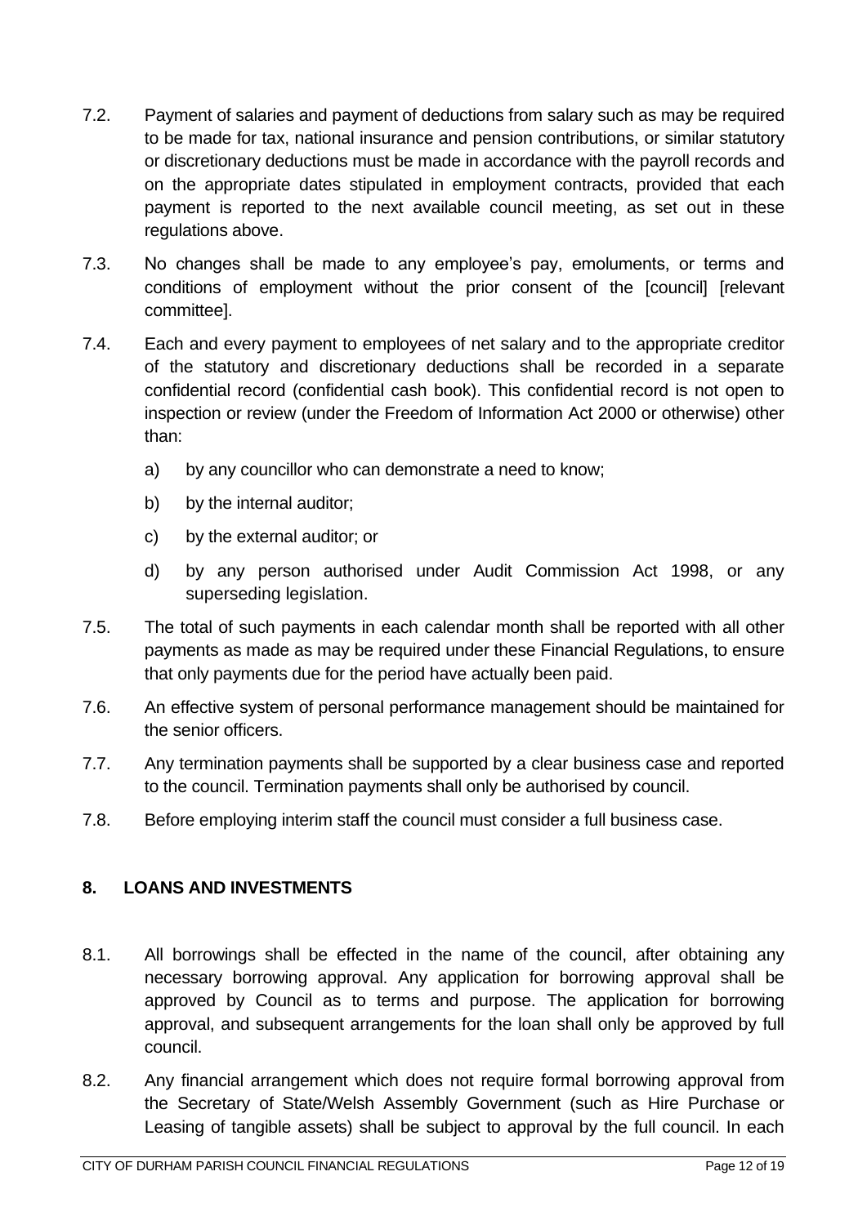- 7.2. Payment of salaries and payment of deductions from salary such as may be required to be made for tax, national insurance and pension contributions, or similar statutory or discretionary deductions must be made in accordance with the payroll records and on the appropriate dates stipulated in employment contracts, provided that each payment is reported to the next available council meeting, as set out in these regulations above.
- 7.3. No changes shall be made to any employee's pay, emoluments, or terms and conditions of employment without the prior consent of the [council] [relevant committee].
- 7.4. Each and every payment to employees of net salary and to the appropriate creditor of the statutory and discretionary deductions shall be recorded in a separate confidential record (confidential cash book). This confidential record is not open to inspection or review (under the Freedom of Information Act 2000 or otherwise) other than:
	- a) by any councillor who can demonstrate a need to know;
	- b) by the internal auditor;
	- c) by the external auditor; or
	- d) by any person authorised under Audit Commission Act 1998, or any superseding legislation.
- 7.5. The total of such payments in each calendar month shall be reported with all other payments as made as may be required under these Financial Regulations, to ensure that only payments due for the period have actually been paid.
- 7.6. An effective system of personal performance management should be maintained for the senior officers.
- 7.7. Any termination payments shall be supported by a clear business case and reported to the council. Termination payments shall only be authorised by council.
- 7.8. Before employing interim staff the council must consider a full business case.

# <span id="page-11-0"></span>**8. LOANS AND INVESTMENTS**

- 8.1. All borrowings shall be effected in the name of the council, after obtaining any necessary borrowing approval. Any application for borrowing approval shall be approved by Council as to terms and purpose. The application for borrowing approval, and subsequent arrangements for the loan shall only be approved by full council.
- 8.2. Any financial arrangement which does not require formal borrowing approval from the Secretary of State/Welsh Assembly Government (such as Hire Purchase or Leasing of tangible assets) shall be subject to approval by the full council. In each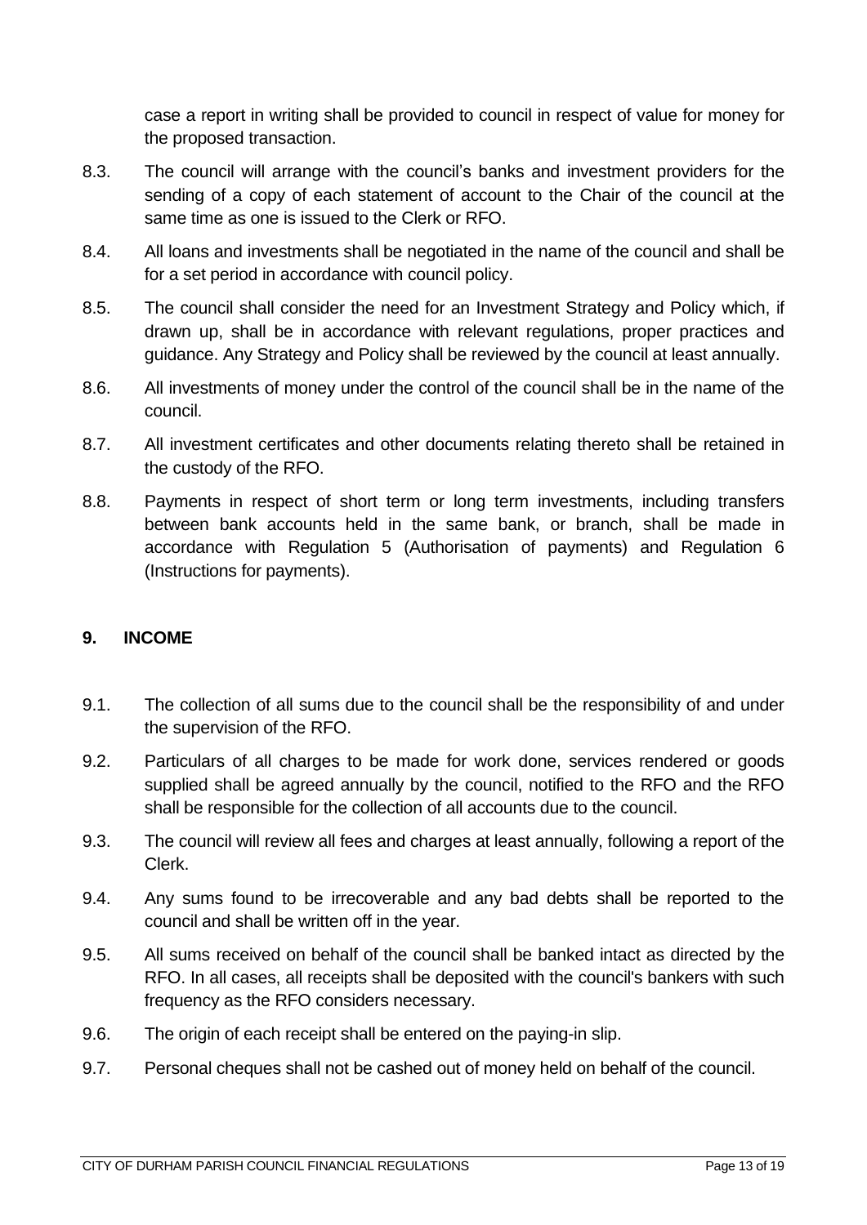case a report in writing shall be provided to council in respect of value for money for the proposed transaction.

- 8.3. The council will arrange with the council's banks and investment providers for the sending of a copy of each statement of account to the Chair of the council at the same time as one is issued to the Clerk or RFO.
- 8.4. All loans and investments shall be negotiated in the name of the council and shall be for a set period in accordance with council policy.
- 8.5. The council shall consider the need for an Investment Strategy and Policy which, if drawn up, shall be in accordance with relevant regulations, proper practices and guidance. Any Strategy and Policy shall be reviewed by the council at least annually.
- 8.6. All investments of money under the control of the council shall be in the name of the council.
- 8.7. All investment certificates and other documents relating thereto shall be retained in the custody of the RFO.
- 8.8. Payments in respect of short term or long term investments, including transfers between bank accounts held in the same bank, or branch, shall be made in accordance with Regulation 5 (Authorisation of payments) and Regulation 6 (Instructions for payments).

#### <span id="page-12-0"></span>**9. INCOME**

- 9.1. The collection of all sums due to the council shall be the responsibility of and under the supervision of the RFO.
- 9.2. Particulars of all charges to be made for work done, services rendered or goods supplied shall be agreed annually by the council, notified to the RFO and the RFO shall be responsible for the collection of all accounts due to the council.
- 9.3. The council will review all fees and charges at least annually, following a report of the Clerk.
- 9.4. Any sums found to be irrecoverable and any bad debts shall be reported to the council and shall be written off in the year.
- 9.5. All sums received on behalf of the council shall be banked intact as directed by the RFO. In all cases, all receipts shall be deposited with the council's bankers with such frequency as the RFO considers necessary.
- 9.6. The origin of each receipt shall be entered on the paying-in slip.
- 9.7. Personal cheques shall not be cashed out of money held on behalf of the council.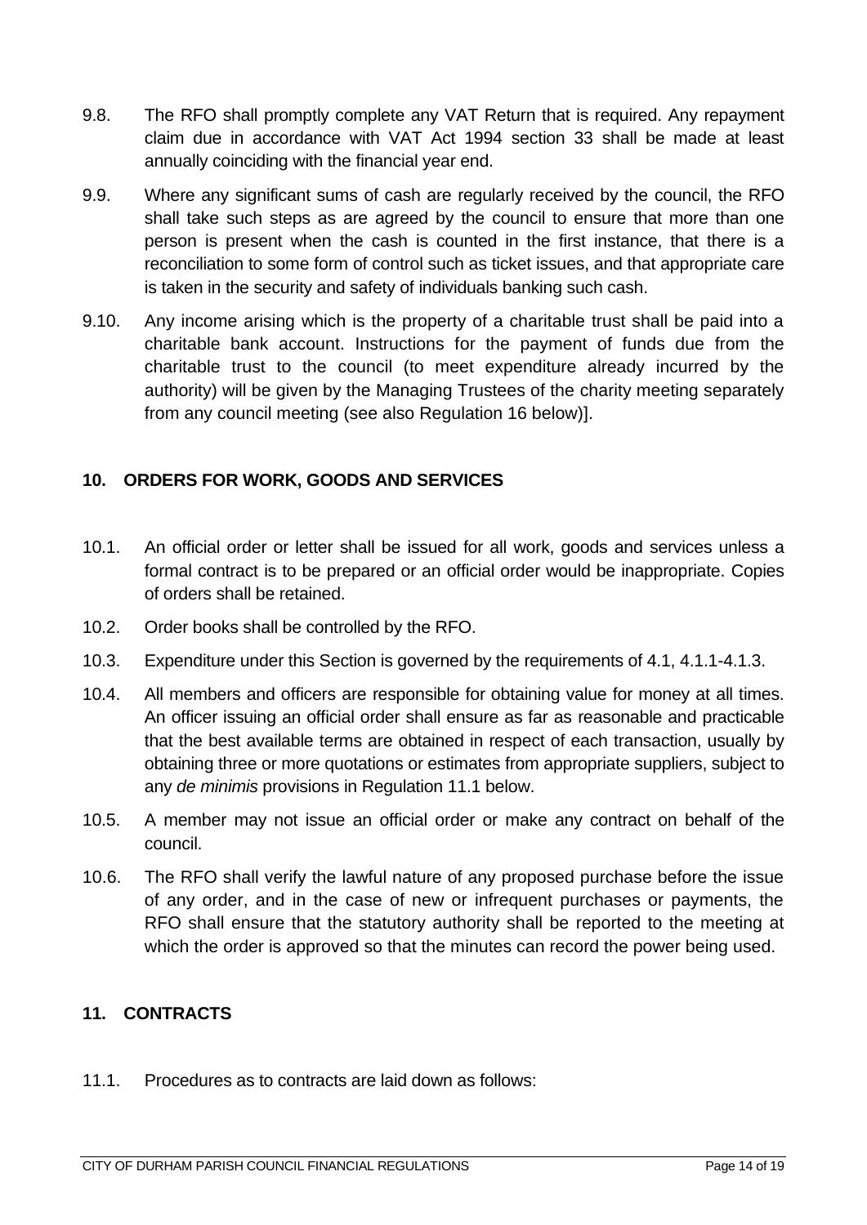- 9.8. The RFO shall promptly complete any VAT Return that is required. Any repayment claim due in accordance with VAT Act 1994 section 33 shall be made at least annually coinciding with the financial year end.
- 9.9. Where any significant sums of cash are regularly received by the council, the RFO shall take such steps as are agreed by the council to ensure that more than one person is present when the cash is counted in the first instance, that there is a reconciliation to some form of control such as ticket issues, and that appropriate care is taken in the security and safety of individuals banking such cash.
- 9.10. Any income arising which is the property of a charitable trust shall be paid into a charitable bank account. Instructions for the payment of funds due from the charitable trust to the council (to meet expenditure already incurred by the authority) will be given by the Managing Trustees of the charity meeting separately from any council meeting (see also Regulation 16 below)].

## <span id="page-13-0"></span>**10. ORDERS FOR WORK, GOODS AND SERVICES**

- 10.1. An official order or letter shall be issued for all work, goods and services unless a formal contract is to be prepared or an official order would be inappropriate. Copies of orders shall be retained.
- 10.2. Order books shall be controlled by the RFO.
- 10.3. Expenditure under this Section is governed by the requirements of 4.1, 4.1.1-4.1.3.
- 10.4. All members and officers are responsible for obtaining value for money at all times. An officer issuing an official order shall ensure as far as reasonable and practicable that the best available terms are obtained in respect of each transaction, usually by obtaining three or more quotations or estimates from appropriate suppliers, subject to any *de minimis* provisions in Regulation 11.1 below.
- 10.5. A member may not issue an official order or make any contract on behalf of the council.
- 10.6. The RFO shall verify the lawful nature of any proposed purchase before the issue of any order, and in the case of new or infrequent purchases or payments, the RFO shall ensure that the statutory authority shall be reported to the meeting at which the order is approved so that the minutes can record the power being used.

### <span id="page-13-1"></span>**11. CONTRACTS**

11.1. Procedures as to contracts are laid down as follows: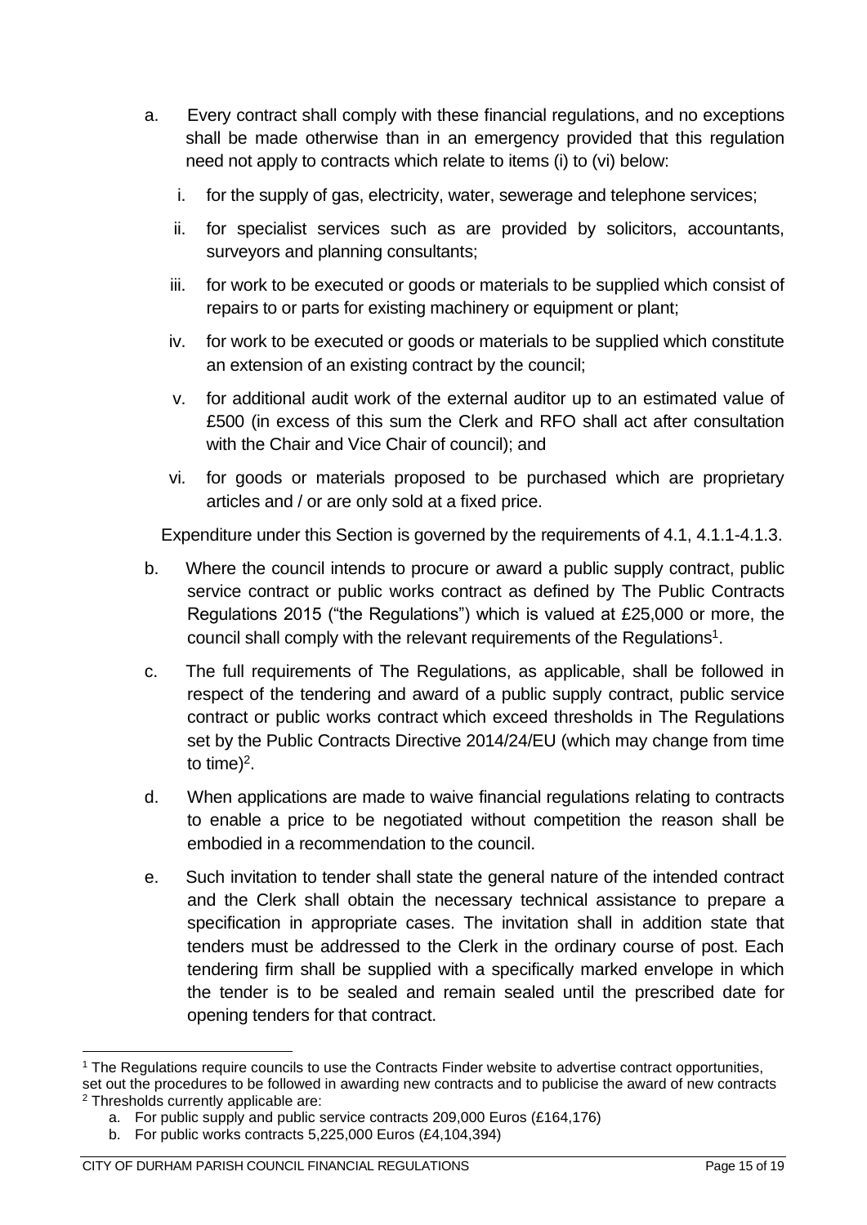- a. Every contract shall comply with these financial regulations, and no exceptions shall be made otherwise than in an emergency provided that this regulation need not apply to contracts which relate to items (i) to (vi) below:
	- i. for the supply of gas, electricity, water, sewerage and telephone services;
	- ii. for specialist services such as are provided by solicitors, accountants, surveyors and planning consultants;
	- iii. for work to be executed or goods or materials to be supplied which consist of repairs to or parts for existing machinery or equipment or plant;
	- iv. for work to be executed or goods or materials to be supplied which constitute an extension of an existing contract by the council;
	- v. for additional audit work of the external auditor up to an estimated value of £500 (in excess of this sum the Clerk and RFO shall act after consultation with the Chair and Vice Chair of council); and
	- vi. for goods or materials proposed to be purchased which are proprietary articles and / or are only sold at a fixed price.

Expenditure under this Section is governed by the requirements of 4.1, 4.1.1-4.1.3.

- b. Where the council intends to procure or award a public supply contract, public service contract or public works contract as defined by The Public Contracts Regulations 2015 ("the Regulations") which is valued at £25,000 or more, the council shall comply with the relevant requirements of the Regulations<sup>1</sup>.
- c. The full requirements of The Regulations, as applicable, shall be followed in respect of the tendering and award of a public supply contract, public service contract or public works contract which exceed thresholds in The Regulations set by the Public Contracts Directive 2014/24/EU (which may change from time to time)<sup>2</sup>.
- d. When applications are made to waive financial regulations relating to contracts to enable a price to be negotiated without competition the reason shall be embodied in a recommendation to the council.
- e. Such invitation to tender shall state the general nature of the intended contract and the Clerk shall obtain the necessary technical assistance to prepare a specification in appropriate cases. The invitation shall in addition state that tenders must be addressed to the Clerk in the ordinary course of post. Each tendering firm shall be supplied with a specifically marked envelope in which the tender is to be sealed and remain sealed until the prescribed date for opening tenders for that contract.

<sup>1</sup> The Regulations require councils to use the Contracts Finder website to advertise contract opportunities, set out the procedures to be followed in awarding new contracts and to publicise the award of new contracts <sup>2</sup> Thresholds currently applicable are:

a. For public supply and public service contracts 209,000 Euros (£164,176)

b. For public works contracts 5,225,000 Euros (£4,104,394)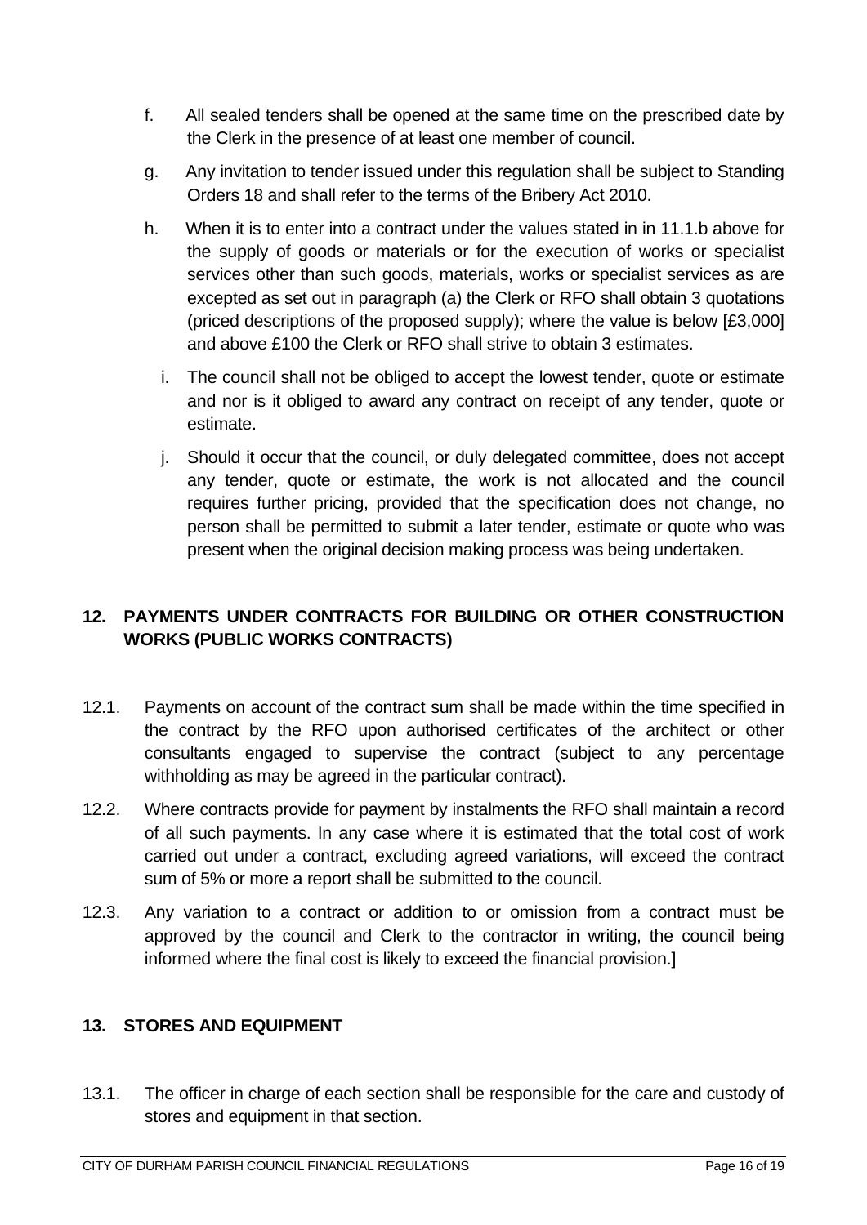- f. All sealed tenders shall be opened at the same time on the prescribed date by the Clerk in the presence of at least one member of council.
- g. Any invitation to tender issued under this regulation shall be subject to Standing Orders 18 and shall refer to the terms of the Bribery Act 2010.
- h. When it is to enter into a contract under the values stated in in 11.1.b above for the supply of goods or materials or for the execution of works or specialist services other than such goods, materials, works or specialist services as are excepted as set out in paragraph (a) the Clerk or RFO shall obtain 3 quotations (priced descriptions of the proposed supply); where the value is below [£3,000] and above £100 the Clerk or RFO shall strive to obtain 3 estimates.
	- i. The council shall not be obliged to accept the lowest tender, quote or estimate and nor is it obliged to award any contract on receipt of any tender, quote or estimate.
	- j. Should it occur that the council, or duly delegated committee, does not accept any tender, quote or estimate, the work is not allocated and the council requires further pricing, provided that the specification does not change, no person shall be permitted to submit a later tender, estimate or quote who was present when the original decision making process was being undertaken.

# <span id="page-15-0"></span>**12. PAYMENTS UNDER CONTRACTS FOR BUILDING OR OTHER CONSTRUCTION WORKS (PUBLIC WORKS CONTRACTS)**

- 12.1. Payments on account of the contract sum shall be made within the time specified in the contract by the RFO upon authorised certificates of the architect or other consultants engaged to supervise the contract (subject to any percentage withholding as may be agreed in the particular contract).
- 12.2. Where contracts provide for payment by instalments the RFO shall maintain a record of all such payments. In any case where it is estimated that the total cost of work carried out under a contract, excluding agreed variations, will exceed the contract sum of 5% or more a report shall be submitted to the council.
- 12.3. Any variation to a contract or addition to or omission from a contract must be approved by the council and Clerk to the contractor in writing, the council being informed where the final cost is likely to exceed the financial provision.]

#### <span id="page-15-1"></span>**13. STORES AND EQUIPMENT**

13.1. The officer in charge of each section shall be responsible for the care and custody of stores and equipment in that section.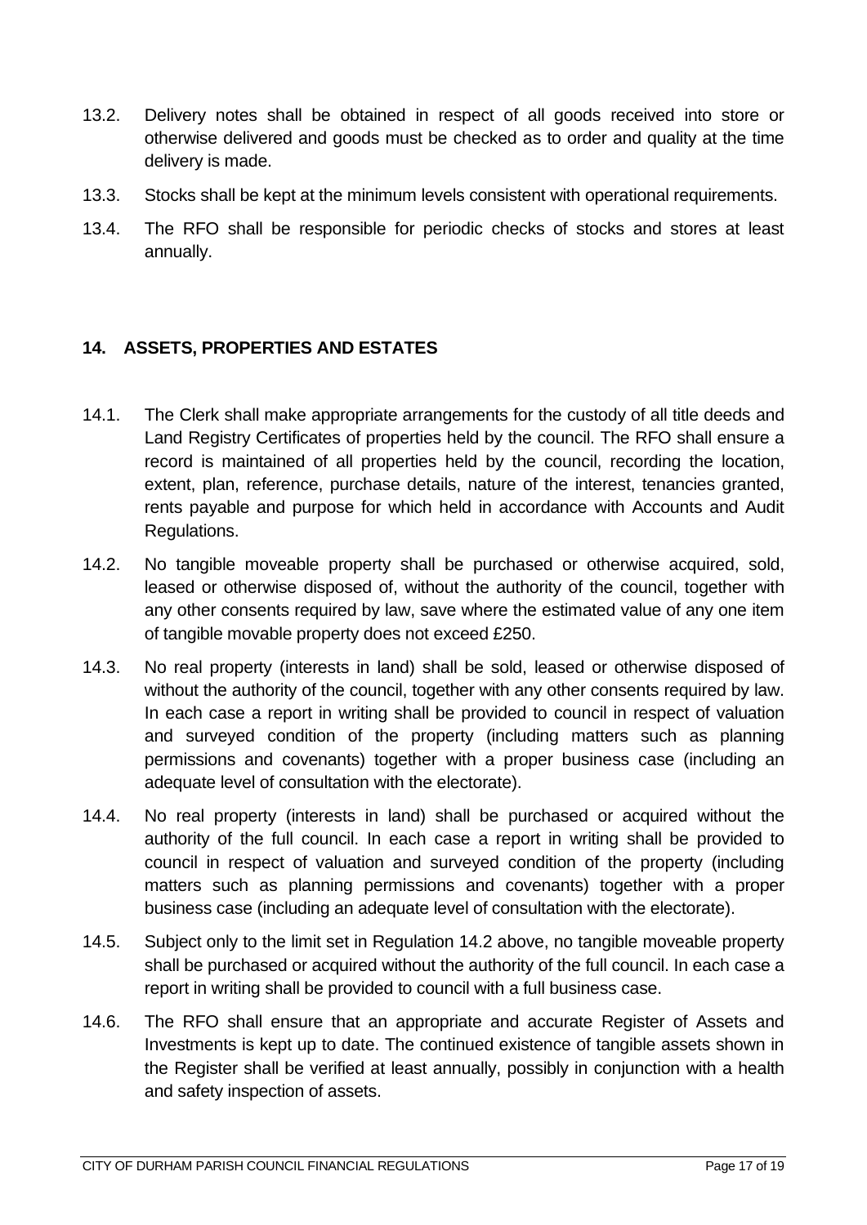- 13.2. Delivery notes shall be obtained in respect of all goods received into store or otherwise delivered and goods must be checked as to order and quality at the time delivery is made.
- 13.3. Stocks shall be kept at the minimum levels consistent with operational requirements.
- 13.4. The RFO shall be responsible for periodic checks of stocks and stores at least annually.

# <span id="page-16-0"></span>**14. ASSETS, PROPERTIES AND ESTATES**

- 14.1. The Clerk shall make appropriate arrangements for the custody of all title deeds and Land Registry Certificates of properties held by the council. The RFO shall ensure a record is maintained of all properties held by the council, recording the location, extent, plan, reference, purchase details, nature of the interest, tenancies granted, rents payable and purpose for which held in accordance with Accounts and Audit Regulations.
- 14.2. No tangible moveable property shall be purchased or otherwise acquired, sold, leased or otherwise disposed of, without the authority of the council, together with any other consents required by law, save where the estimated value of any one item of tangible movable property does not exceed £250.
- 14.3. No real property (interests in land) shall be sold, leased or otherwise disposed of without the authority of the council, together with any other consents required by law. In each case a report in writing shall be provided to council in respect of valuation and surveyed condition of the property (including matters such as planning permissions and covenants) together with a proper business case (including an adequate level of consultation with the electorate).
- 14.4. No real property (interests in land) shall be purchased or acquired without the authority of the full council. In each case a report in writing shall be provided to council in respect of valuation and surveyed condition of the property (including matters such as planning permissions and covenants) together with a proper business case (including an adequate level of consultation with the electorate).
- 14.5. Subject only to the limit set in Regulation 14.2 above, no tangible moveable property shall be purchased or acquired without the authority of the full council. In each case a report in writing shall be provided to council with a full business case.
- 14.6. The RFO shall ensure that an appropriate and accurate Register of Assets and Investments is kept up to date. The continued existence of tangible assets shown in the Register shall be verified at least annually, possibly in conjunction with a health and safety inspection of assets.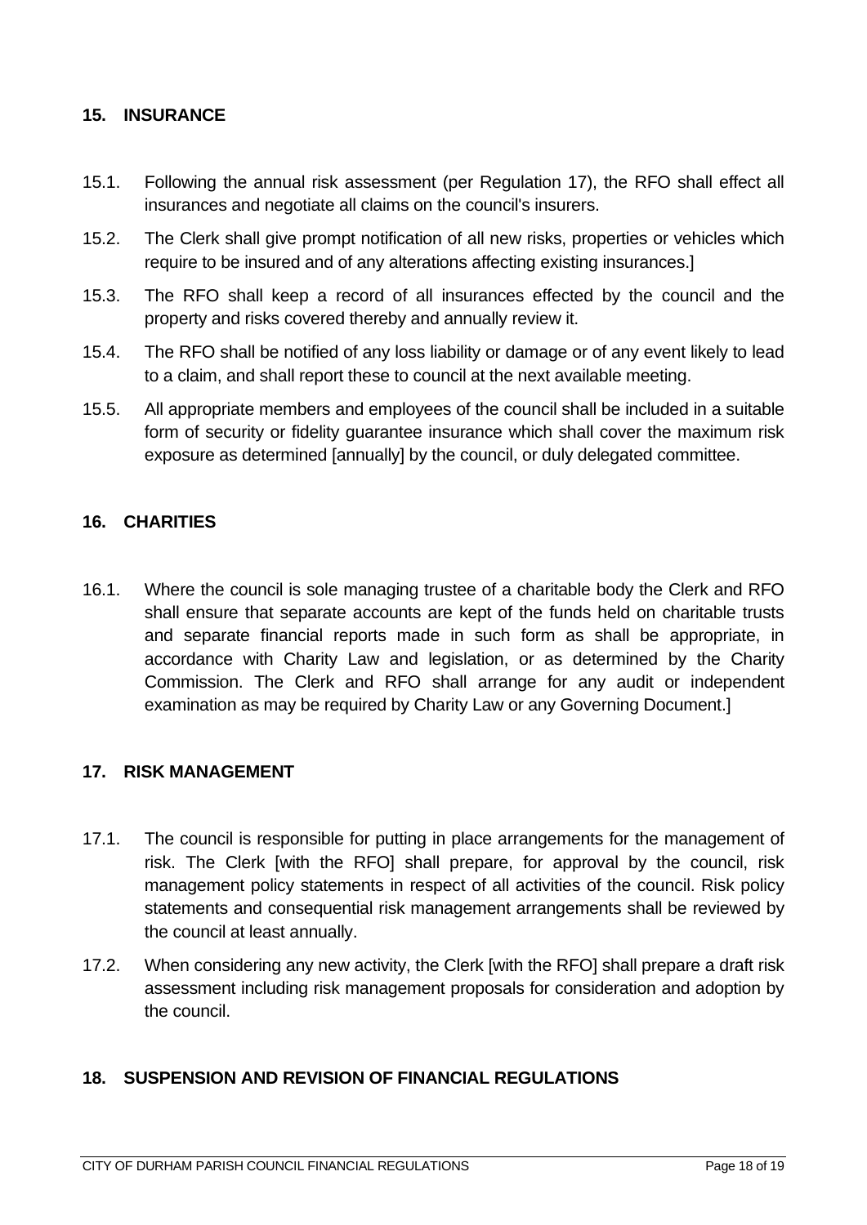#### <span id="page-17-0"></span>**15. INSURANCE**

- 15.1. Following the annual risk assessment (per Regulation 17), the RFO shall effect all insurances and negotiate all claims on the council's insurers.
- 15.2. The Clerk shall give prompt notification of all new risks, properties or vehicles which require to be insured and of any alterations affecting existing insurances.]
- 15.3. The RFO shall keep a record of all insurances effected by the council and the property and risks covered thereby and annually review it.
- 15.4. The RFO shall be notified of any loss liability or damage or of any event likely to lead to a claim, and shall report these to council at the next available meeting.
- 15.5. All appropriate members and employees of the council shall be included in a suitable form of security or fidelity guarantee insurance which shall cover the maximum risk exposure as determined [annually] by the council, or duly delegated committee.

## <span id="page-17-1"></span>**16. CHARITIES**

16.1. Where the council is sole managing trustee of a charitable body the Clerk and RFO shall ensure that separate accounts are kept of the funds held on charitable trusts and separate financial reports made in such form as shall be appropriate, in accordance with Charity Law and legislation, or as determined by the Charity Commission. The Clerk and RFO shall arrange for any audit or independent examination as may be required by Charity Law or any Governing Document.]

#### <span id="page-17-2"></span>**17. RISK MANAGEMENT**

- 17.1. The council is responsible for putting in place arrangements for the management of risk. The Clerk [with the RFO] shall prepare, for approval by the council, risk management policy statements in respect of all activities of the council. Risk policy statements and consequential risk management arrangements shall be reviewed by the council at least annually.
- 17.2. When considering any new activity, the Clerk [with the RFO] shall prepare a draft risk assessment including risk management proposals for consideration and adoption by the council.

#### <span id="page-17-3"></span>**18. SUSPENSION AND REVISION OF FINANCIAL REGULATIONS**